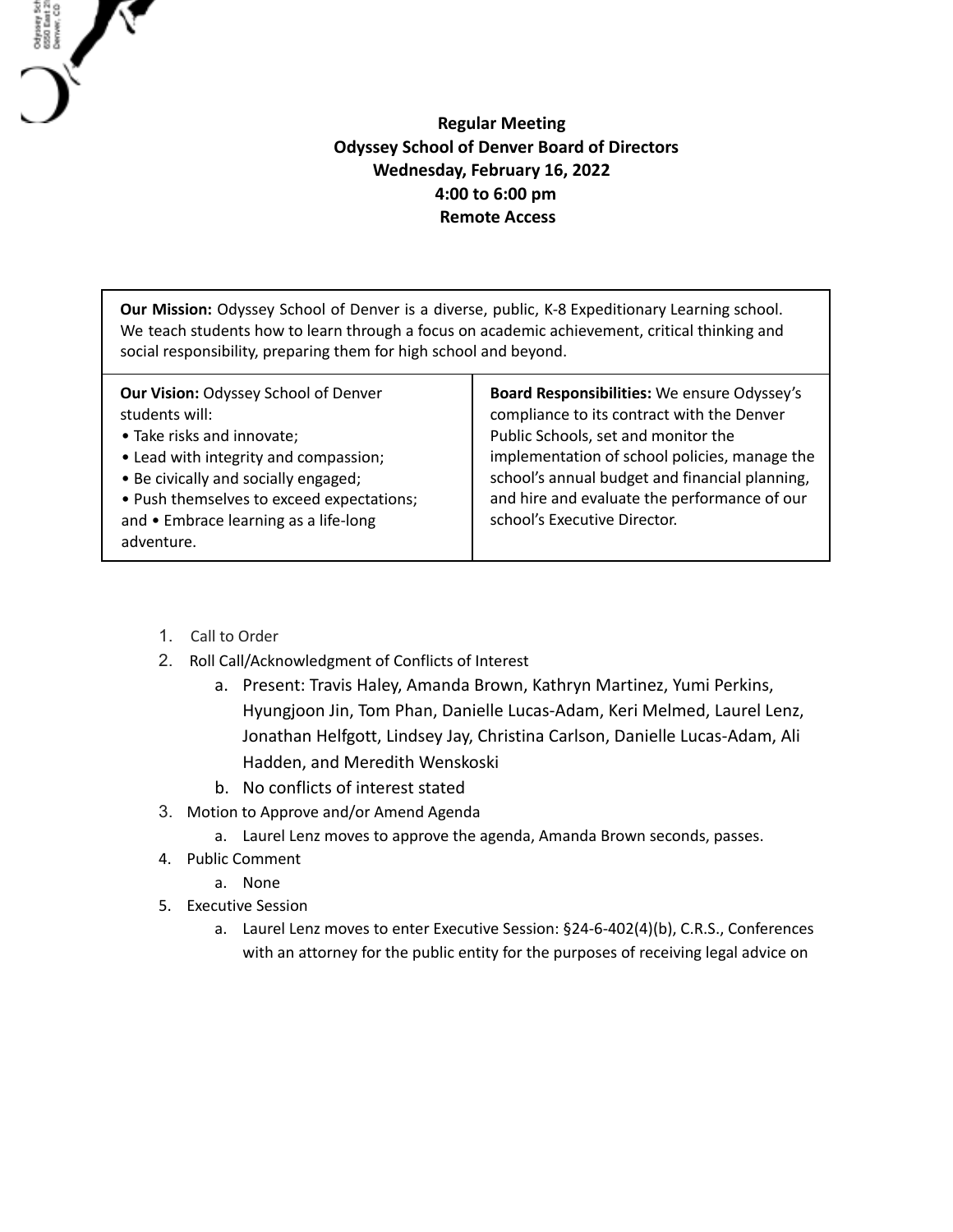## **Regular Meeting Odyssey School of Denver Board of Directors Wednesday, February 16, 2022 4:00 to 6:00 pm Remote Access**

**Our Mission:** Odyssey School of Denver is a diverse, public, K-8 Expeditionary Learning school. We teach students how to learn through a focus on academic achievement, critical thinking and social responsibility, preparing them for high school and beyond.

| <b>Our Vision: Odyssey School of Denver</b><br>students will:<br>• Take risks and innovate;<br>• Lead with integrity and compassion;<br>• Be civically and socially engaged;<br>• Push themselves to exceed expectations;<br>and • Embrace learning as a life-long<br>adventure. | Board Responsibilities: We ensure Odyssey's<br>compliance to its contract with the Denver<br>Public Schools, set and monitor the<br>implementation of school policies, manage the<br>school's annual budget and financial planning,<br>and hire and evaluate the performance of our<br>school's Executive Director. |
|----------------------------------------------------------------------------------------------------------------------------------------------------------------------------------------------------------------------------------------------------------------------------------|---------------------------------------------------------------------------------------------------------------------------------------------------------------------------------------------------------------------------------------------------------------------------------------------------------------------|
|----------------------------------------------------------------------------------------------------------------------------------------------------------------------------------------------------------------------------------------------------------------------------------|---------------------------------------------------------------------------------------------------------------------------------------------------------------------------------------------------------------------------------------------------------------------------------------------------------------------|

1. Call to Order

Odysey Sch<br>6550 East 21<br>Denver, CO

- 2. Roll Call/Acknowledgment of Conflicts of Interest
	- a. Present: Travis Haley, Amanda Brown, Kathryn Martinez, Yumi Perkins, Hyungjoon Jin, Tom Phan, Danielle Lucas-Adam, Keri Melmed, Laurel Lenz, Jonathan Helfgott, Lindsey Jay, Christina Carlson, Danielle Lucas-Adam, Ali Hadden, and Meredith Wenskoski
	- b. No conflicts of interest stated
- 3. Motion to Approve and/or Amend Agenda
	- a. Laurel Lenz moves to approve the agenda, Amanda Brown seconds, passes.
- 4. Public Comment
	- a. None
- 5. Executive Session
	- a. Laurel Lenz moves to enter Executive Session: §24-6-402(4)(b), C.R.S., Conferences with an attorney for the public entity for the purposes of receiving legal advice on